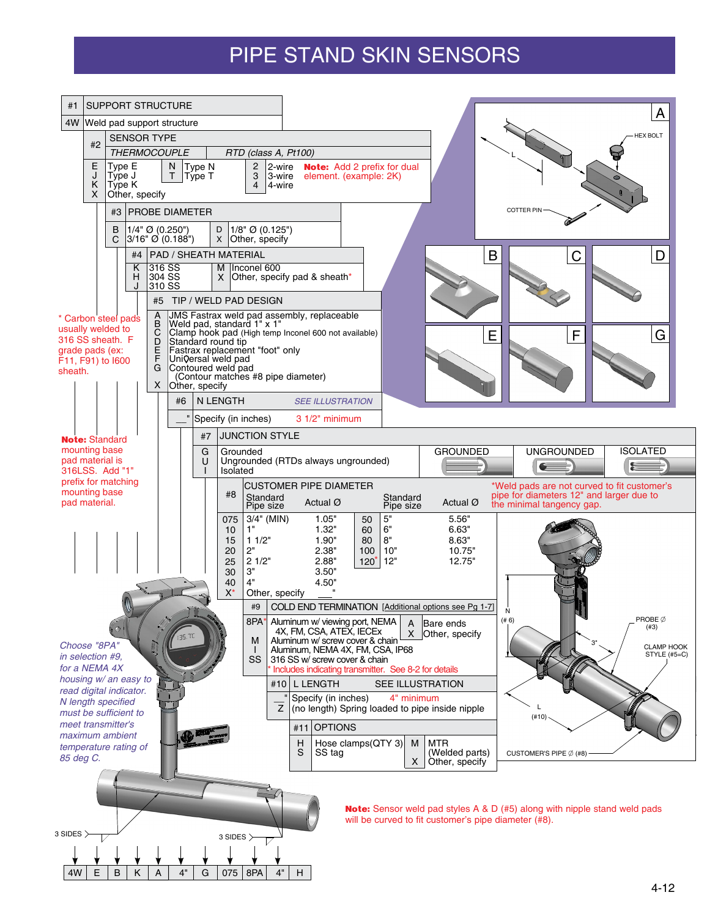# PIPE STAND SKIN SENSORS

| <b>SUPPORT STRUCTURE</b><br>#1                                          |                                          |                                          |                                                      |                                                                                               |                                    |                                                      |                                                                                  | А                                 |
|-------------------------------------------------------------------------|------------------------------------------|------------------------------------------|------------------------------------------------------|-----------------------------------------------------------------------------------------------|------------------------------------|------------------------------------------------------|----------------------------------------------------------------------------------|-----------------------------------|
| 4W<br>Weld pad support structure                                        |                                          |                                          |                                                      |                                                                                               |                                    |                                                      |                                                                                  | <b>HEX BOLT</b>                   |
| <b>SENSOR TYPE</b><br>#2<br><b>THERMOCOUPLE</b><br>RTD (class A, Pt100) |                                          |                                          |                                                      |                                                                                               |                                    |                                                      |                                                                                  |                                   |
| Е<br>Type E<br>J<br>Type J<br>Κ<br>Type K<br>X<br>Other, specify        | N<br>Τ                                   | Type N<br>Type T                         | 2-wire<br>$\mathbf{2}$<br>3<br>3-wire<br>4<br>4 wire | element. (example: 2K)                                                                        | <b>Note:</b> Add 2 prefix for dual |                                                      |                                                                                  |                                   |
| #3                                                                      | <b>PROBE DIAMETER</b>                    |                                          |                                                      |                                                                                               |                                    |                                                      | <b>COTTER PIN</b>                                                                |                                   |
| B<br>С                                                                  | $1/4$ " Ø (0.250")<br>$3/16"$ Ø (0.188") | D<br>X                                   | $1/8$ " Ø (0.125")<br>Other, specify                 |                                                                                               |                                    |                                                      |                                                                                  |                                   |
| #4<br>κ                                                                 | <b>PAD / SHEATH MATERIAL</b><br>316 SS   | м                                        | Inconel 600                                          |                                                                                               |                                    | B                                                    |                                                                                  | D                                 |
| H<br>J                                                                  | 304 SS<br>310 SS                         | X                                        |                                                      | Other, specify pad & sheath*                                                                  |                                    |                                                      |                                                                                  |                                   |
|                                                                         | A                                        |                                          | #5 TIP / WELD PAD DESIGN                             | JMS Fastrax weld pad assembly, replaceable                                                    |                                    |                                                      |                                                                                  |                                   |
| * Carbon steel pads<br>usually welded to<br>316 SS sheath. F            | В<br>C                                   |                                          | Weld pad, standard 1" x 1"                           | Clamp hook pad (High temp Inconel 600 not available)                                          |                                    | Е                                                    | F                                                                                | G                                 |
| grade pads (ex:                                                         | D<br>E<br>F                              | Standard round tip<br>Universal weld pad | Fastrax replacement "foot" only                      |                                                                                               |                                    |                                                      |                                                                                  |                                   |
| F11, F91) to I600<br>sheath.                                            | G<br>X                                   | Contoured weld pad                       | (Contour matches #8 pipe diameter)                   |                                                                                               |                                    |                                                      |                                                                                  |                                   |
|                                                                         | #6                                       | Other, specify<br>N LENGTH               |                                                      | <b>SEE ILLUSTRATION</b>                                                                       |                                    |                                                      |                                                                                  |                                   |
|                                                                         |                                          |                                          | Specify (in inches)                                  | 3 1/2" minimum                                                                                |                                    |                                                      |                                                                                  |                                   |
| <b>Note: Standard</b><br>mounting base                                  |                                          | #7                                       | <b>JUNCTION STYLE</b>                                |                                                                                               |                                    |                                                      |                                                                                  |                                   |
| pad material is<br>316LSS. Add "1"                                      |                                          | G<br>U                                   | Grounded<br>Isolated                                 | Ungrounded (RTDs always ungrounded)                                                           |                                    | <b>GROUNDED</b>                                      | <b>UNGROUNDED</b>                                                                | <b>ISOLATED</b>                   |
| prefix for matching<br>mounting base                                    |                                          |                                          |                                                      | <b>CUSTOMER PIPE DIAMETER</b>                                                                 |                                    |                                                      | *Weld pads are not curved to fit customer's                                      |                                   |
| pad material.                                                           |                                          |                                          | #8<br>Standard<br>Pipe size                          | Actual Ø                                                                                      | Standard<br>Pipe size              | Actual Ø                                             | pipe for diameters 12" and larger due to<br>the minimal tangency gap.            |                                   |
|                                                                         |                                          |                                          | 3/4" (MIN)<br>075<br>1"<br>10                        | 1.05"<br>1.32"                                                                                | 5"<br>50<br>6"<br>60               | 5.56"<br>6.63"                                       |                                                                                  |                                   |
|                                                                         |                                          |                                          | 11/2"<br>15<br>2"<br>20                              | 1.90"<br>2.38"                                                                                | $8"$<br>80<br>10"<br>100           | 8.63"<br>10.75"                                      |                                                                                  |                                   |
|                                                                         |                                          |                                          | 21/2"<br>25<br>3"<br>30                              | 2.88"<br>3.50"                                                                                | 12"<br>$120^{\degree}$             | 12.75"                                               |                                                                                  |                                   |
|                                                                         |                                          |                                          | 4"<br>40<br>$X^*$<br>Other, specify                  | 4.50"                                                                                         |                                    |                                                      |                                                                                  |                                   |
| #9                                                                      |                                          |                                          |                                                      |                                                                                               |                                    | COLD END TERMINATION [Additional options see Pg 1-7] | N                                                                                | PROBE Ø                           |
| 8PA*<br>("O<br><b>135.7C</b><br>M                                       |                                          |                                          |                                                      | Aluminum w/ viewing port, NEMA<br>4X, FM, CSA, ATEX, IECEx<br>Aluminum w/ screw cover & chain | А<br>X                             | Bare ends<br>Other, specify                          | (# 6)                                                                            | (#3)                              |
| Choose "8PA"<br>in selection #9,                                        |                                          |                                          | $\mathbf{I}$<br>SS                                   | Aluminum, NEMA 4X, FM, CSA, IP68<br>316 SS w/ screw cover & chain                             |                                    |                                                      |                                                                                  | <b>CLAMP HOOK</b><br>STYLE (#5=C) |
| for a NEMA 4X<br>housing w/ an easy to                                  |                                          |                                          |                                                      | Includes indicating transmitter. See 8-2 for details<br>#10 L LENGTH                          |                                    |                                                      |                                                                                  |                                   |
| read digital indicator.<br>N length specified                           |                                          |                                          |                                                      | Specify (in inches)                                                                           | 4" minimum                         | <b>SEE ILLUSTRATION</b>                              |                                                                                  |                                   |
| must be sufficient to<br>meet transmitter's                             |                                          |                                          | Z                                                    |                                                                                               |                                    | (no length) Spring loaded to pipe inside nipple      | (410)                                                                            |                                   |
| maximum ambient                                                         |                                          |                                          |                                                      | <b>OPTIONS</b><br>#11<br>Η                                                                    | Hose clamps(QTY 3)<br>M            | <b>MTR</b>                                           |                                                                                  |                                   |
| temperature rating of<br>85 deg C.                                      |                                          |                                          |                                                      | S<br>SS tag                                                                                   |                                    | (Welded parts)<br>X   Other, specify                 | CUSTOMER'S PIPE $\emptyset$ (#8)                                                 |                                   |
|                                                                         |                                          |                                          |                                                      |                                                                                               |                                    |                                                      |                                                                                  |                                   |
|                                                                         |                                          |                                          |                                                      |                                                                                               |                                    |                                                      | <b>Note:</b> Sensor weld pad styles A & D (#5) along with nipple stand weld pads |                                   |
|                                                                         |                                          |                                          |                                                      |                                                                                               |                                    | will be curved to fit customer's pipe diameter (#8). |                                                                                  |                                   |
| 3 SIDES $\rm >$                                                         |                                          |                                          | 3 SIDES $>$                                          |                                                                                               |                                    |                                                      |                                                                                  |                                   |
| B<br>Κ<br>4W<br>E                                                       | 4"<br>Α                                  | G                                        | 075<br>8PA<br>4"                                     | H                                                                                             |                                    |                                                      |                                                                                  |                                   |